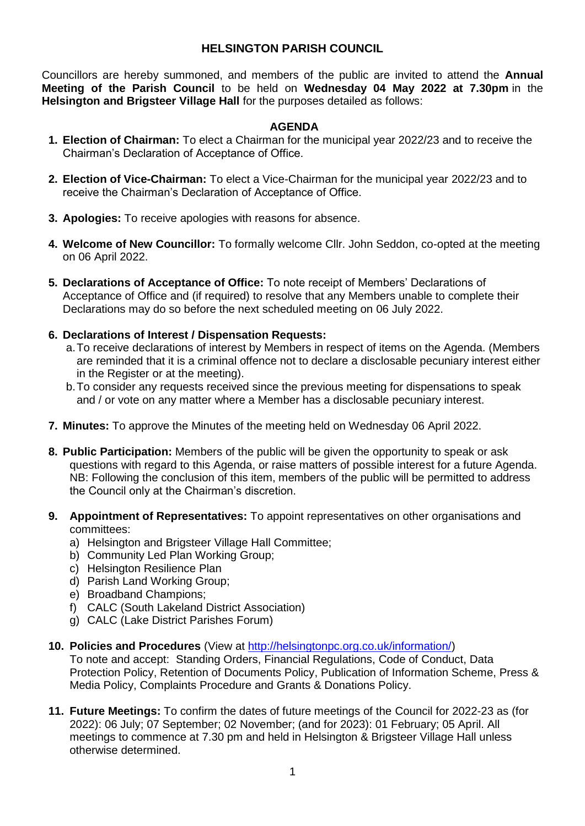### **HELSINGTON PARISH COUNCIL**

Councillors are hereby summoned, and members of the public are invited to attend the **Annual Meeting of the Parish Council** to be held on **Wednesday 04 May 2022 at 7.30pm** in the **Helsington and Brigsteer Village Hall** for the purposes detailed as follows:

#### **AGENDA**

- **1. Election of Chairman:** To elect a Chairman for the municipal year 2022/23 and to receive the Chairman's Declaration of Acceptance of Office.
- **2. Election of Vice-Chairman:** To elect a Vice-Chairman for the municipal year 2022/23 and to receive the Chairman's Declaration of Acceptance of Office.
- **3. Apologies:** To receive apologies with reasons for absence.
- **4. Welcome of New Councillor:** To formally welcome Cllr. John Seddon, co-opted at the meeting on 06 April 2022.
- **5. Declarations of Acceptance of Office:** To note receipt of Members' Declarations of Acceptance of Office and (if required) to resolve that any Members unable to complete their Declarations may do so before the next scheduled meeting on 06 July 2022.
- **6. Declarations of Interest / Dispensation Requests:**
	- a.To receive declarations of interest by Members in respect of items on the Agenda. (Members are reminded that it is a criminal offence not to declare a disclosable pecuniary interest either in the Register or at the meeting).
	- b.To consider any requests received since the previous meeting for dispensations to speak and / or vote on any matter where a Member has a disclosable pecuniary interest.
- **7. Minutes:** To approve the Minutes of the meeting held on Wednesday 06 April 2022.
- **8. Public Participation:** Members of the public will be given the opportunity to speak or ask questions with regard to this Agenda, or raise matters of possible interest for a future Agenda. NB: Following the conclusion of this item, members of the public will be permitted to address the Council only at the Chairman's discretion.
- **9. Appointment of Representatives:** To appoint representatives on other organisations and committees:
	- a) Helsington and Brigsteer Village Hall Committee;
	- b) Community Led Plan Working Group;
	- c) Helsington Resilience Plan
	- d) Parish Land Working Group;
	- e) Broadband Champions;
	- f) CALC (South Lakeland District Association)
	- g) CALC (Lake District Parishes Forum)
- **10. Policies and Procedures** (View at [http://helsingtonpc.org.co.uk/information/\)](http://helsingtonpc.org.co.uk/information/)

To note and accept: Standing Orders, Financial Regulations, Code of Conduct, Data Protection Policy, Retention of Documents Policy, Publication of Information Scheme, Press & Media Policy, Complaints Procedure and Grants & Donations Policy.

**11. Future Meetings:** To confirm the dates of future meetings of the Council for 2022-23 as (for 2022): 06 July; 07 September; 02 November; (and for 2023): 01 February; 05 April. All meetings to commence at 7.30 pm and held in Helsington & Brigsteer Village Hall unless otherwise determined.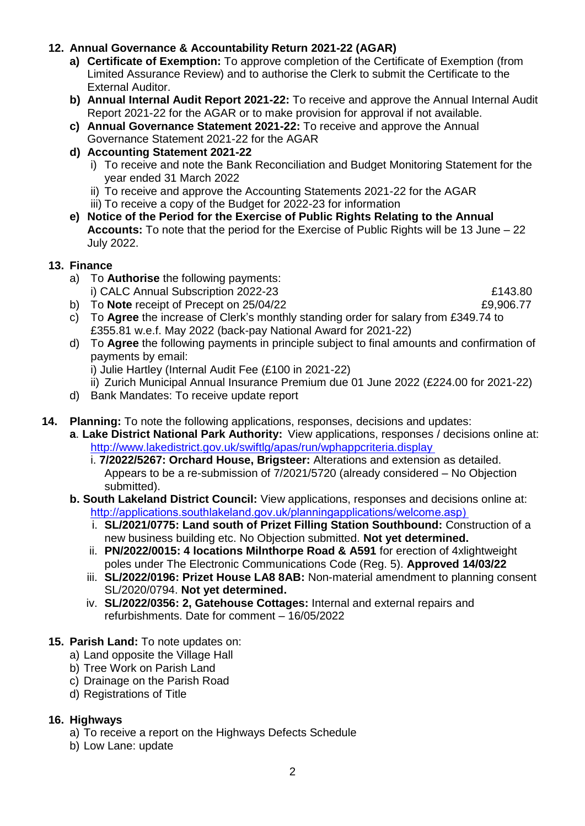### **12. Annual Governance & Accountability Return 2021-22 (AGAR)**

- **a) Certificate of Exemption:** To approve completion of the Certificate of Exemption (from Limited Assurance Review) and to authorise the Clerk to submit the Certificate to the External Auditor.
- **b) Annual Internal Audit Report 2021-22:** To receive and approve the Annual Internal Audit Report 2021-22 for the AGAR or to make provision for approval if not available.
- **c) Annual Governance Statement 2021-22:** To receive and approve the Annual Governance Statement 2021-22 for the AGAR
- **d) Accounting Statement 2021-22**
	- i) To receive and note the Bank Reconciliation and Budget Monitoring Statement for the year ended 31 March 2022
	- ii) To receive and approve the Accounting Statements 2021-22 for the AGAR
	- iii) To receive a copy of the Budget for 2022-23 for information
- **e) Notice of the Period for the Exercise of Public Rights Relating to the Annual Accounts:** To note that the period for the Exercise of Public Rights will be 13 June – 22 July 2022.

### **13. Finance**

- a) To **Authorise** the following payments: i) CALC Annual Subscription 2022-23 *£143.80*
- b) To **Note** receipt of Precept on 25/04/22 **E9,906.77**
- c) To **Agree** the increase of Clerk's monthly standing order for salary from £349.74 to £355.81 w.e.f. May 2022 (back-pay National Award for 2021-22)
- d) To **Agree** the following payments in principle subject to final amounts and confirmation of payments by email:
	- i) Julie Hartley (Internal Audit Fee (£100 in 2021-22)
	- ii) Zurich Municipal Annual Insurance Premium due 01 June 2022 (£224.00 for 2021-22)
- d) Bank Mandates: To receive update report
- **14. Planning:** To note the following applications, responses, decisions and updates:
	- **a**. **Lake District National Park Authority:** View applications, responses / decisions online at: [http://www.lakedistrict.gov.uk/swiftlg/apas/run/wphappcriteria.display](http://www.lakedistrict.gov.uk/swiftlg/apas/run/wphappcriteria.display%E2%80%AF)
		- i. **7/2022/5267: Orchard House, Brigsteer:** Alterations and extension as detailed. Appears to be a re-submission of 7/2021/5720 (already considered – No Objection submitted).
	- **b. South Lakeland District Council:** View applications, responses and decisions online at: [http://applications.southlakeland.gov.uk/planningapplications/welcome.asp\)](http://applications.southlakeland.gov.uk/planningapplications/welcome.asp)%E2%80%AF)
		- i. **SL/2021/0775: Land south of Prizet Filling Station Southbound:** Construction of a new business building etc. No Objection submitted. **Not yet determined.**
		- ii. **PN/2022/0015: 4 locations Milnthorpe Road & A591** for erection of 4xlightweight poles under The Electronic Communications Code (Reg. 5). **Approved 14/03/22**
		- iii. **SL/2022/0196: Prizet House LA8 8AB:** Non-material amendment to planning consent SL/2020/0794. **Not yet determined.**
		- iv. **SL/2022/0356: 2, Gatehouse Cottages:** Internal and external repairs and refurbishments. Date for comment – 16/05/2022

### **15. Parish Land:** To note updates on:

- a) Land opposite the Village Hall
- b) Tree Work on Parish Land
- c) Drainage on the Parish Road
- d) Registrations of Title

### **16. Highways**

- a) To receive a report on the Highways Defects Schedule
- b) Low Lane: update